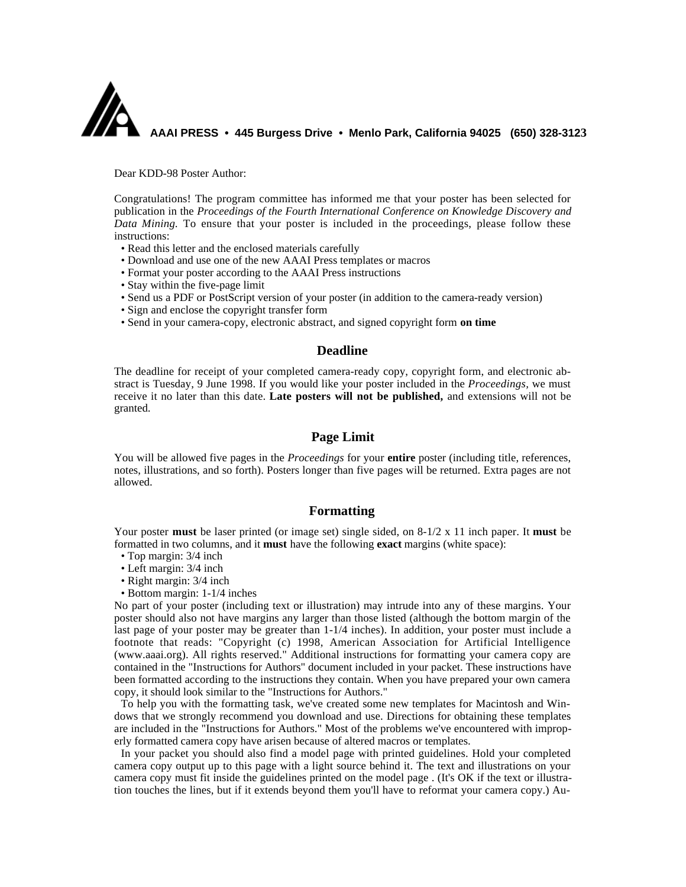

Dear KDD-98 Poster Author:

Congratulations! The program committee has informed me that your poster has been selected for publication in the *Proceedings of the Fourth International Conference on Knowledge Discovery and Data Mining.* To ensure that your poster is included in the proceedings, please follow these instructions:

- Read this letter and the enclosed materials carefully
- Download and use one of the new AAAI Press templates or macros
- Format your poster according to the AAAI Press instructions
- Stay within the five-page limit
- Send us a PDF or PostScript version of your poster (in addition to the camera-ready version)
- Sign and enclose the copyright transfer form
- Send in your camera-copy, electronic abstract, and signed copyright form **on time**

### **Deadline**

The deadline for receipt of your completed camera-ready copy, copyright form, and electronic abstract is Tuesday, 9 June 1998. If you would like your poster included in the *Proceedings,* we must receive it no later than this date. **Late posters will not be published,** and extensions will not be granted.

# **Page Limit**

You will be allowed five pages in the *Proceedings* for your **entire** poster (including title, references, notes, illustrations, and so forth). Posters longer than five pages will be returned. Extra pages are not allowed.

## **Formatting**

Your poster **must** be laser printed (or image set) single sided, on 8-1/2 x 11 inch paper. It **must** be formatted in two columns, and it **must** have the following **exact** margins (white space):

- Top margin: 3/4 inch
- Left margin: 3/4 inch
- Right margin: 3/4 inch
- Bottom margin: 1-1/4 inches

No part of your poster (including text or illustration) may intrude into any of these margins. Your poster should also not have margins any larger than those listed (although the bottom margin of the last page of your poster may be greater than 1-1/4 inches). In addition, your poster must include a footnote that reads: "Copyright (c) 1998, American Association for Artificial Intelligence (www.aaai.org). All rights reserved." Additional instructions for formatting your camera copy are contained in the "Instructions for Authors" document included in your packet. These instructions have been formatted according to the instructions they contain. When you have prepared your own camera copy, it should look similar to the "Instructions for Authors."

To help you with the formatting task, we've created some new templates for Macintosh and Windows that we strongly recommend you download and use. Directions for obtaining these templates are included in the "Instructions for Authors." Most of the problems we've encountered with improperly formatted camera copy have arisen because of altered macros or templates.

In your packet you should also find a model page with printed guidelines. Hold your completed camera copy output up to this page with a light source behind it. The text and illustrations on your camera copy must fit inside the guidelines printed on the model page . (It's OK if the text or illustration touches the lines, but if it extends beyond them you'll have to reformat your camera copy.) Au